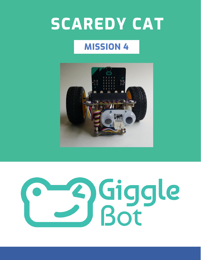# **SCAREDY CAT**

# **MISSION 4**



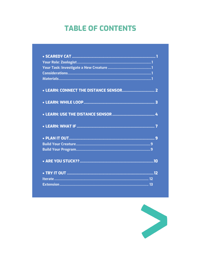### **TABLE OF CONTENTS**

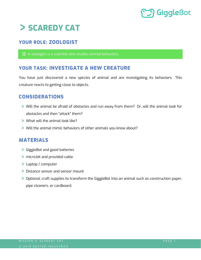# <span id="page-2-0"></span>**SCAREDY CAT**

### <span id="page-2-1"></span>**YOUR ROLE: ZOOLOGIST**

A zoologist is a scientist who studies animal behaviors.

### <span id="page-2-2"></span>**YOUR TASK: INVESTIGATE A NEW CREATURE**

You have just discovered a new species of animal and are investigating its behaviors. This creature reacts to getting close to objects.

### <span id="page-2-3"></span>**CONSIDERATIONS**

- Will the animal be afraid of obstacles and run away from them? Or, will the animal look for obstacles and then "attack" them?
- What will the animal look like?
- Will the animal mimic behaviors of other animals you know about?

### <span id="page-2-4"></span>**MATERIALS**

- GiggleBot and good batteries
- micro:bit and provided cable
- Laptop / computer
- > Distance sensor and sensor mount
- Optional: craft supplies to transform the GiggleBot into an animal such as construction paper, pipe cleaners, or cardboard.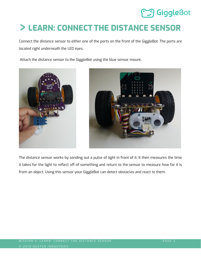# <span id="page-3-0"></span>**LEARN: CONNECT THE DISTANCE SENSOR**

Connect the distance sensor to either one of the ports on the front of the GiggleBot. The ports are located right underneath the LED eyes.

Attach the distance sensor to the GiggleBot using the blue sensor mount.





The distance sensor works by sending out a pulse of light in front of it. It then measures the time it takes for the light to reflect off of something and return to the sensor to measure how far it is from an object. Using this sensor your GiggleBot can detect obstacles and react to them.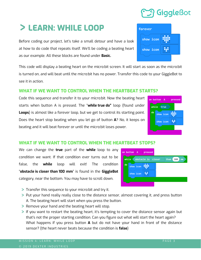# <span id="page-4-0"></span>**LEARN: WHILE LOOP**

Before coding our project, let's take a small detour and have a look at how to do code that repeats itself. We'll be coding a beating heart as our example. All these blocks are found under **Basic.** 

This code will display a beating heart on the micro:bit screen. It will start as soon as the micro:bit is turned on, and will beat until the micro:bit has no power. Transfer this code to your GiggleBot to see it in action.

### **WHAT IF WE WANT TO CONTROL WHEN THE HEARTBEAT STARTS?**

Code this sequence and transfer it to your micro:bit. Now the beating heart starts when button A is pressed. The "**while true do"** loop (found under **Loops**) is almost like a forever loop, but we get to control its starting point. Does the heart stop beating when you let go of button **A**? No, it keeps on beating and it will beat forever or until the micro:bit loses power.

### **WHAT IF WE WANT TO CONTROL WHEN THE HEARTBEAT STOPS?**

We can change the **true** part of the **while** loop to any condition we want. If that condition ever turns out to be false, the **while** loop will exit! The condition "**obstacle is closer than 100 mm**" is found in the **GiggleBot** category, near the bottom. You may have to scroll down.

- Transfer this sequence to your micro:bit and try it.
- Put your hand really really close to the distance sensor, almost covering it, and press button A. The beating heart will start when you press the button.
- **> Remove your hand and the beating heart will stop.**
- If you want to restart the beating heart, it's tempting to cover the distance sensor again but that's not the proper starting condition. Can you figure out what will start the heart again? What happens if you press button **A** but do not have your hand in front of the distance sensor? (the heart never beats because the condition is **false**)





on button A

 $while$   $true$ 

show icon

show icon

do

pressed

HH



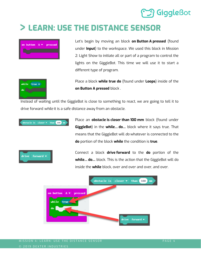

# <span id="page-5-0"></span>**LEARN: USE THE DISTANCE SENSOR**



Let's begin by moving an block **on Button A pressed** (found under **Input**) to the workspace. We used this block in Mission 2: Light Show to initiate all or part of a program to control the lights on the GiggleBot. This time we will use it to start a different type of program.



Place a block **while true do** (found under **Loops**) inside of the **on Button A pressed** block .

Instead of waiting until the GiggleBot is close to something to react, we are going to tell it to drive forward *while* it is a safe distance away from an obstacle.



forward

Place an **obstacle is closer than 100 mm** block (found under **GiggleBot**) in the **while… do…** block where it says true. That means that the GiggleBot will *do* whatever is connected to the **do** portion of the block **while** the condition is **true**.

Connect a block **drive forward** to the **do** portion of the **while… do…** block. This is the action that the GiggleBot will do inside the **while** block, over and over and over, and over.

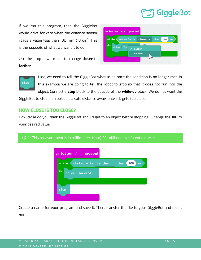If we ran this program, then the GiggleBot would drive forward when the distance sensor reads a value less than 100 mm (10 cm). This is the *opposite* of what we want it to do!!!

Use the drop-down menu to change **closer** to **farther**.





Last, we need to tell the GiggleBot what to do once the condition is no longer met. In this example we are going to tell the robot to *stop* so that it does not run into the object. Connect a **stop** block to the outside of the **while-do** block. We do not want the

GiggleBot to stop if an object is a safe distance away, only if it gets too close.

### **HOW CLOSE IS TOO CLOSE?**

How close do you think the GiggleBot should get to an object before stopping? Change the **100** to your desired value.

### $\bigoplus$  \*\* This measurement is in millimeters (mm). 10 millimeters = 1 centimeter \*\*



Create a name for your program and save it. Then, transfer the file to your GiggleBot and test it out.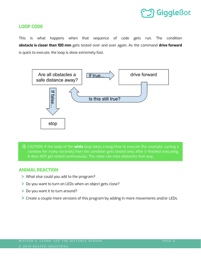

### **LOOP CODE**

This is what happens when that sequence of code gets run. The condition **obstacle is closer than 100 mm** gets tested over and over again. As the command **drive forward** is quick to execute, the loop is done extremely fast.



 CAUTION: If the body of the **while** loop takes a long time to execute (for example, cycling a rainbow for many seconds) then the condition gets tested only after it finished executing. It does NOT get tested continuously. The robot can miss obstacles that way.

### **ANIMAL REACTION**

- What else could you add to the program?
- Do you want to turn on LEDs when an object gets close?
- > Do you want it to turn around?
- Create a couple more versions of this program by adding in more movements and/or LEDs.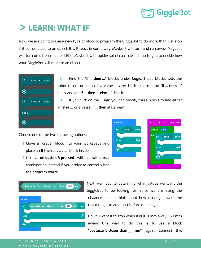# **J Giggle**Bot

# <span id="page-8-0"></span>**LEARN: WHAT IF**

Now, we are going to use a new type of block to program the GiggleBot to do more than just stop if it comes close to an object. It will react in some way. Maybe it will turn and run away. Maybe it will turn on different color LEDs. Maybe it will rapidly spin in a circle. It is up to you to decide how your GiggleBot will react to an object.



 $\geq$ Find the "**if … then …"** blocks under **Logic**. These blocks tells the robot to do an action if a value is *true*. Notice there is an "**if … then …"** block and an "**if … then … else …"** block.

If you click on the **+** sign you can modify these blocks to add either  $\geq$ an **else …** or an **else if … then** statement.

Choose one of the two following options:

- **1** Move a forever block into your workspace and place an **if then … else …** block inside
- **2** Use a **on button A pressed** with a **while true** combination instead if you prefer to control when the program starts.





Next, we need to determine what values we want the GiggleBot to be looking for. Since we are using the distance sensor, think about how close you want the robot to get to an object before reacting.

Do you want it to stop when it is 100 mm away? 50 mm away? One way to do this is to use a block **"obstacle is closer than \_\_ mm"** again. Connect this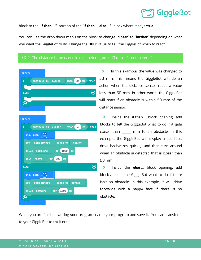# **J** GiggleBot

block to the "**if then …"** portion of the "**if then … else …"** block where it says **true**.

You can use the drop down menu on the block to change "**closer**" to "**farther**" depending on what you want the GiggleBot to do. Change the "**100**" value to tell the GiggleBot when to react.

### $\textcircled{1}$   $^{**}$  The distance is measured in millimeters (mm). 10 mm = 1 centimeter.



 $\geq$ In this example, the value was changed to 50 mm. This means the GiggleBot will do an action when the distance sensor reads a value less than 50 mm, in other words the GiggleBot will react if an obstacle is within 50 mm of the distance sensor.

 $\geq$ Inside the **if then…** block opening, add blocks to tell the GiggleBot what to do if it gets closer than \_\_\_\_ mm to an obstacle. In this example, the GiggleBot will display a sad face, drive backwards quickly, and then turn around when an obstacle is detected that is closer than 50 mm.

 $\mathbf{I}$ Inside the **else …** block opening, add blocks to tell the GiggleBot what to do if there isn't an obstacle. In this example, it will drive forwards with a happy face if there is no obstacle.

When you are finished writing your program, name your program and save it. You can transfer it to your GiggleBot to try it out.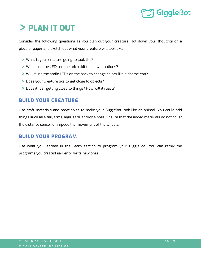# <span id="page-10-0"></span>**PLAN IT OUT**

Consider the following questions as you plan out your creature. Jot down your thoughts on a piece of paper and sketch out what your creature will look like.

- What is your creature going to look like?
- Will it use the LEDs on the micro:bit to show emotions?
- Will it use the smile LEDs on the back to change colors like a chameleon?
- Does your creature like to get close to objects?
- Does it fear getting close to things? How will it react?

### <span id="page-10-1"></span>**BUILD YOUR CREATURE**

Use craft materials and recyclables to make your GiggleBot look like an animal. You could add things such as a tail, arms, legs, ears, and/or a nose. Ensure that the added materials do not cover the distance sensor or impede the movement of the wheels.

### <span id="page-10-2"></span>**BUILD YOUR PROGRAM**

Use what you learned in the Learn section to program your GiggleBot. You can remix the programs you created earlier or write new ones.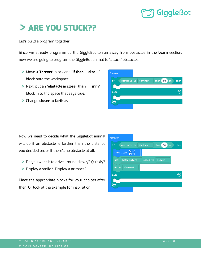# <span id="page-11-0"></span>**ARE YOU STUCK??**

Let's build a program together!

Since we already programmed the GiggleBot to run away from obstacles in the **Learn** section, now we are going to program the GiggleBot animal to "attack" obstacles.

- Move a "**forever**" block and "**if then … else …**" block onto the workspace.
- Next, put an "**obstacle is closer than \_\_ mm**" block in to the space that says **true**.
- Change **closer** to **farther.**



Now we need to decide what the GiggleBot animal will do if an obstacle is farther than the distance you decided on, or if there's no obstacle at all.

- Do you want it to drive around slowly? Quickly?
- > Display a smile? Display a grimace?

Place the appropriate blocks for your choices after then. Or look at the example for inspiration.

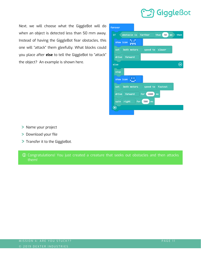Next, we will choose what the GiggleBot will do when an object is detected less than 50 mm away. Instead of having the GiggleBot fear obstacles, this one will "attack" them gleefully. What blocks could you place after **else** to tell the GiggleBot to "attack" the object? An example is shown here.



- > Name your project
- > Download your file
- > Transfer it to the GiggleBot.
- $\mathbb O$  Congratulations! You just created a creature that seeks out obstacles and then attacks them!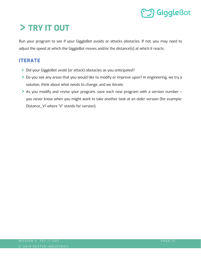# <span id="page-13-0"></span>**TRY IT OUT**

Run your program to see if your GiggleBot avoids or attacks obstacles. If not, you may need to adjust the speed at which the GiggleBot moves and/or the distance(s) at which it reacts.

### <span id="page-13-1"></span>**ITERATE**

- Did your GiggleBot avoid (or attack) obstacles as you anticipated?
- Do you see any areas that you would like to modify or improve upon? In engineering, we try a solution, think about what needs to change, and we iterate.
- As you modify and revise your program, save each new program with a version number you never know when you might want to take another look at an older version (for example: Distance\_V1 where "V" stands for version).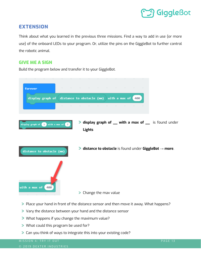

### <span id="page-14-0"></span>**EXTENSION**

Think about what you learned in the previous three missions. Find a way to add in use (or more use) of the onboard LEDs to your program. Or, utilize the pins on the GiggleBot to further control the robotic animal.

### **GIVE ME A SIGN**

Build the program below and transfer it to your GiggleBot.



- Place your hand in front of the distance sensor and then move it away. What happens?
- Vary the distance between your hand and the distance sensor
- What happens if you change the maximum value?
- What could this program be used for?
- Can you think of ways to integrate this into your existing code?